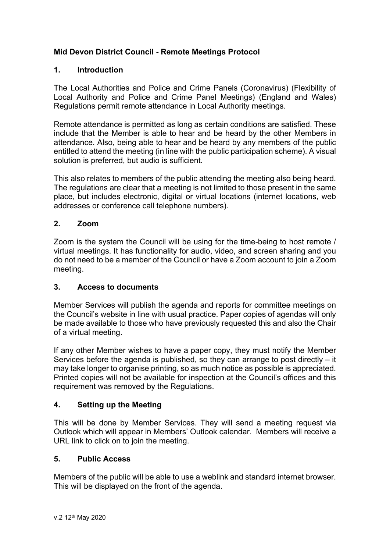# **Mid Devon District Council - Remote Meetings Protocol**

### **1. Introduction**

The Local Authorities and Police and Crime Panels (Coronavirus) (Flexibility of Local Authority and Police and Crime Panel Meetings) (England and Wales) Regulations permit remote attendance in Local Authority meetings.

Remote attendance is permitted as long as certain conditions are satisfied. These include that the Member is able to hear and be heard by the other Members in attendance. Also, being able to hear and be heard by any members of the public entitled to attend the meeting (in line with the public participation scheme). A visual solution is preferred, but audio is sufficient.

This also relates to members of the public attending the meeting also being heard. The regulations are clear that a meeting is not limited to those present in the same place, but includes electronic, digital or virtual locations (internet locations, web addresses or conference call telephone numbers).

### **2. Zoom**

Zoom is the system the Council will be using for the time-being to host remote / virtual meetings. It has functionality for audio, video, and screen sharing and you do not need to be a member of the Council or have a Zoom account to join a Zoom meeting.

#### **3. Access to documents**

Member Services will publish the agenda and reports for committee meetings on the Council's website in line with usual practice. Paper copies of agendas will only be made available to those who have previously requested this and also the Chair of a virtual meeting.

If any other Member wishes to have a paper copy, they must notify the Member Services before the agenda is published, so they can arrange to post directly – it may take longer to organise printing, so as much notice as possible is appreciated. Printed copies will not be available for inspection at the Council's offices and this requirement was removed by the Regulations.

## **4. Setting up the Meeting**

This will be done by Member Services. They will send a meeting request via Outlook which will appear in Members' Outlook calendar. Members will receive a URL link to click on to join the meeting.

## **5. Public Access**

Members of the public will be able to use a weblink and standard internet browser. This will be displayed on the front of the agenda.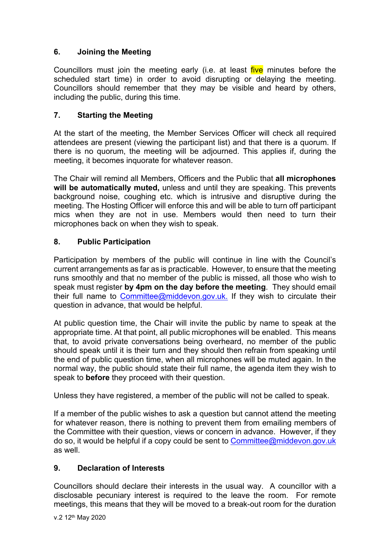# **6. Joining the Meeting**

Councillors must join the meeting early (i.e. at least five minutes before the scheduled start time) in order to avoid disrupting or delaying the meeting. Councillors should remember that they may be visible and heard by others, including the public, during this time.

# **7. Starting the Meeting**

At the start of the meeting, the Member Services Officer will check all required attendees are present (viewing the participant list) and that there is a quorum. If there is no quorum, the meeting will be adjourned. This applies if, during the meeting, it becomes inquorate for whatever reason.

The Chair will remind all Members, Officers and the Public that **all microphones will be automatically muted,** unless and until they are speaking. This prevents background noise, coughing etc. which is intrusive and disruptive during the meeting. The Hosting Officer will enforce this and will be able to turn off participant mics when they are not in use. Members would then need to turn their microphones back on when they wish to speak.

# **8. Public Participation**

Participation by members of the public will continue in line with the Council's current arrangements as far as is practicable. However, to ensure that the meeting runs smoothly and that no member of the public is missed, all those who wish to speak must register **by 4pm on the day before the meeting**. They should email their full name to [Committee@middevon.gov.uk](mailto:Committee@middevon.gov.uk). If they wish to circulate their question in advance, that would be helpful.

At public question time, the Chair will invite the public by name to speak at the appropriate time. At that point, all public microphones will be enabled. This means that, to avoid private conversations being overheard, no member of the public should speak until it is their turn and they should then refrain from speaking until the end of public question time, when all microphones will be muted again. In the normal way, the public should state their full name, the agenda item they wish to speak to **before** they proceed with their question.

Unless they have registered, a member of the public will not be called to speak.

If a member of the public wishes to ask a question but cannot attend the meeting for whatever reason, there is nothing to prevent them from emailing members of the Committee with their question, views or concern in advance. However, if they do so, it would be helpful if a copy could be sent to [Committee@middevon.gov.uk](mailto:Committee@middevon.gov.uk) as well.

## **9. Declaration of Interests**

Councillors should declare their interests in the usual way. A councillor with a disclosable pecuniary interest is required to the leave the room. For remote meetings, this means that they will be moved to a break-out room for the duration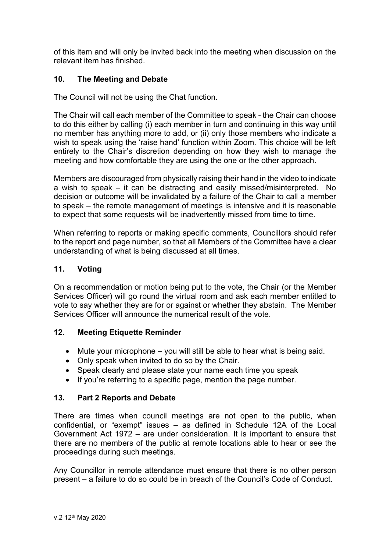of this item and will only be invited back into the meeting when discussion on the relevant item has finished.

## **10. The Meeting and Debate**

The Council will not be using the Chat function.

The Chair will call each member of the Committee to speak - the Chair can choose to do this either by calling (i) each member in turn and continuing in this way until no member has anything more to add, or (ii) only those members who indicate a wish to speak using the 'raise hand' function within Zoom. This choice will be left entirely to the Chair's discretion depending on how they wish to manage the meeting and how comfortable they are using the one or the other approach.

Members are discouraged from physically raising their hand in the video to indicate a wish to speak – it can be distracting and easily missed/misinterpreted. No decision or outcome will be invalidated by a failure of the Chair to call a member to speak – the remote management of meetings is intensive and it is reasonable to expect that some requests will be inadvertently missed from time to time.

When referring to reports or making specific comments, Councillors should refer to the report and page number, so that all Members of the Committee have a clear understanding of what is being discussed at all times.

### **11. Voting**

On a recommendation or motion being put to the vote, the Chair (or the Member Services Officer) will go round the virtual room and ask each member entitled to vote to say whether they are for or against or whether they abstain. The Member Services Officer will announce the numerical result of the vote.

#### **12. Meeting Etiquette Reminder**

- Mute your microphone you will still be able to hear what is being said.
- Only speak when invited to do so by the Chair.
- Speak clearly and please state your name each time you speak
- If you're referring to a specific page, mention the page number.

## **13. Part 2 Reports and Debate**

There are times when council meetings are not open to the public, when confidential, or "exempt" issues – as defined in Schedule 12A of the Local Government Act 1972 – are under consideration. It is important to ensure that there are no members of the public at remote locations able to hear or see the proceedings during such meetings.

Any Councillor in remote attendance must ensure that there is no other person present – a failure to do so could be in breach of the Council's Code of Conduct.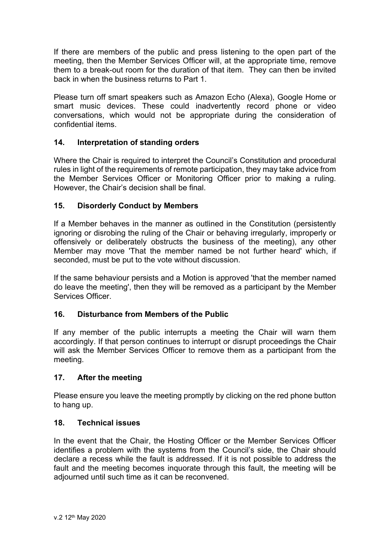If there are members of the public and press listening to the open part of the meeting, then the Member Services Officer will, at the appropriate time, remove them to a break-out room for the duration of that item. They can then be invited back in when the business returns to Part 1.

Please turn off smart speakers such as Amazon Echo (Alexa), Google Home or smart music devices. These could inadvertently record phone or video conversations, which would not be appropriate during the consideration of confidential items.

### **14. Interpretation of standing orders**

Where the Chair is required to interpret the Council's Constitution and procedural rules in light of the requirements of remote participation, they may take advice from the Member Services Officer or Monitoring Officer prior to making a ruling. However, the Chair's decision shall be final.

### **15. Disorderly Conduct by Members**

If a Member behaves in the manner as outlined in the Constitution (persistently ignoring or disrobing the ruling of the Chair or behaving irregularly, improperly or offensively or deliberately obstructs the business of the meeting), any other Member may move 'That the member named be not further heard' which, if seconded, must be put to the vote without discussion.

If the same behaviour persists and a Motion is approved 'that the member named do leave the meeting', then they will be removed as a participant by the Member Services Officer.

## **16. Disturbance from Members of the Public**

If any member of the public interrupts a meeting the Chair will warn them accordingly. If that person continues to interrupt or disrupt proceedings the Chair will ask the Member Services Officer to remove them as a participant from the meeting.

#### **17. After the meeting**

Please ensure you leave the meeting promptly by clicking on the red phone button to hang up.

#### **18. Technical issues**

In the event that the Chair, the Hosting Officer or the Member Services Officer identifies a problem with the systems from the Council's side, the Chair should declare a recess while the fault is addressed. If it is not possible to address the fault and the meeting becomes inquorate through this fault, the meeting will be adjourned until such time as it can be reconvened.